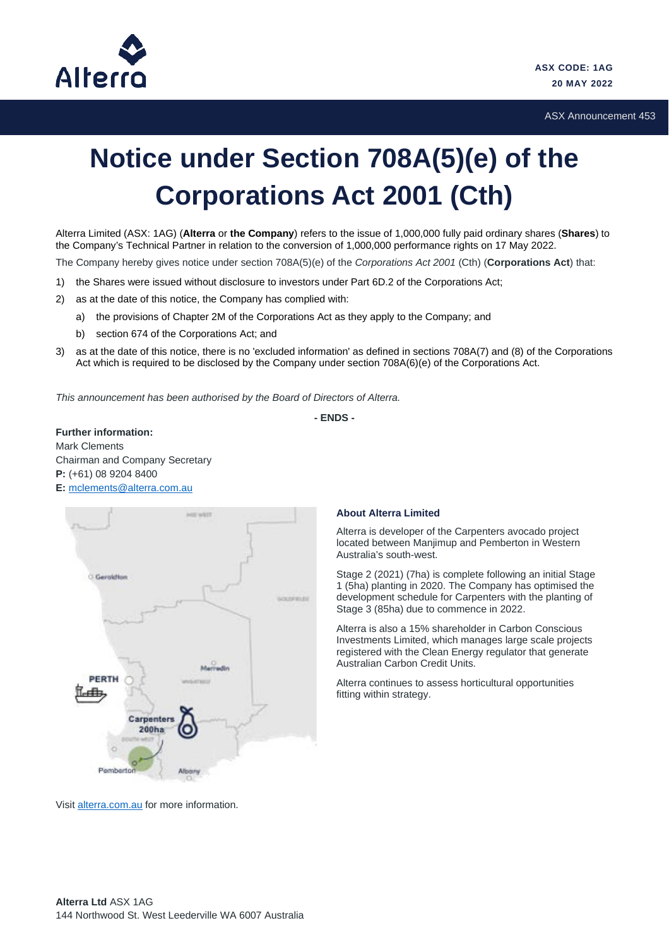

ASX Announcement 453

## **Notice under Section 708A(5)(e) of the Corporations Act 2001 (Cth)**

Alterra Limited (ASX: 1AG) (**Alterra** or **the Company**) refers to the issue of 1,000,000 fully paid ordinary shares (**Shares**) to the Company's Technical Partner in relation to the conversion of 1,000,000 performance rights on 17 May 2022.

The Company hereby gives notice under section 708A(5)(e) of the *Corporations Act 2001* (Cth) (**Corporations Act**) that:

- 1) the Shares were issued without disclosure to investors under Part 6D.2 of the Corporations Act;
- 2) as at the date of this notice, the Company has complied with:
	- a) the provisions of Chapter 2M of the Corporations Act as they apply to the Company; and
	- b) section 674 of the Corporations Act; and
- 3) as at the date of this notice, there is no 'excluded information' as defined in sections 708A(7) and (8) of the Corporations Act which is required to be disclosed by the Company under section 708A(6)(e) of the Corporations Act.

*This announcement has been authorised by the Board of Directors of Alterra.*

**- ENDS -**

**Further information:** Mark Clements Chairman and Company Secretary **P:** (+61) 08 9204 8400 **E:** [mclements@alterra.com.au](mailto:mclements@alterra.com.au)



## **About Alterra Limited**

Alterra is developer of the Carpenters avocado project located between Manjimup and Pemberton in Western Australia's south-west.

Stage 2 (2021) (7ha) is complete following an initial Stage 1 (5ha) planting in 2020. The Company has optimised the development schedule for Carpenters with the planting of Stage 3 (85ha) due to commence in 2022.

Alterra is also a 15% shareholder in Carbon Conscious Investments Limited, which manages large scale projects registered with the Clean Energy regulator that generate Australian Carbon Credit Units.

Alterra continues to assess horticultural opportunities fitting within strategy.

Visit [alterra.com.au](http://alterra.com.au/) for more information.